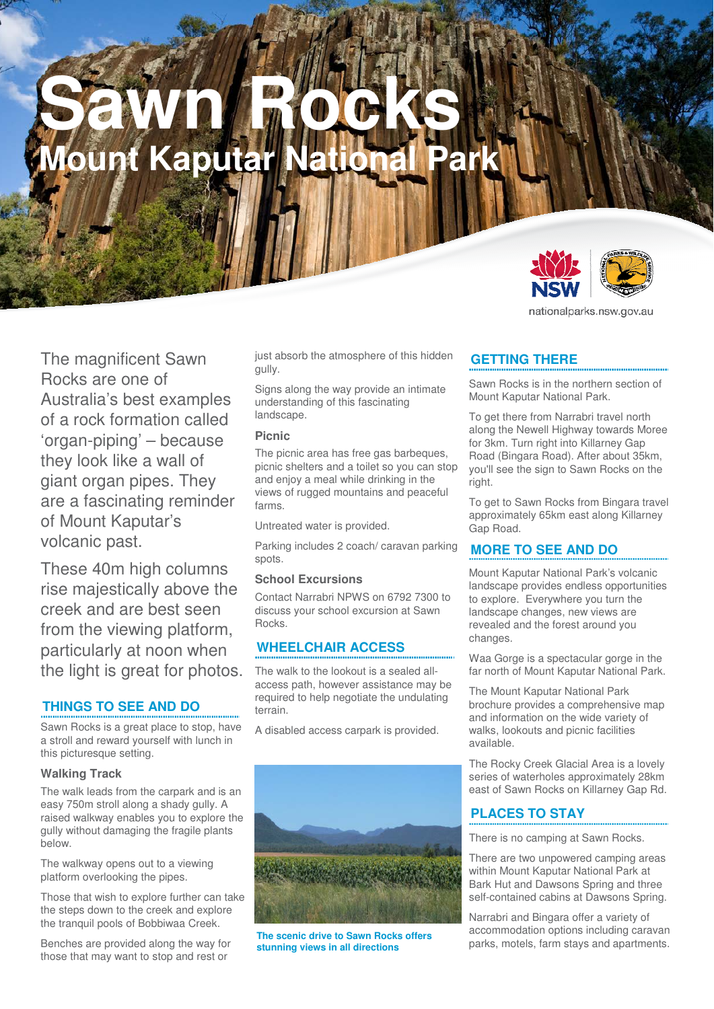# **Sawn Rocks Mount Kaputar National**



nationalparks.nsw.gov.au

The magnificent Sawn Rocks are one of Australia's best examples of a rock formation called 'organ-piping' – because they look like a wall of giant organ pipes. They are a fascinating reminder of Mount Kaputar's volcanic past.

These 40m high columns rise majestically above the creek and are best seen from the viewing platform. particularly at noon when the light is great for photos.

### **THINGS TO SEE AND DO**

Sawn Rocks is a great place to stop, have a stroll and reward yourself with lunch in this picturesque setting.

#### **Walking Track**

The walk leads from the carpark and is an easy 750m stroll along a shady gully. A raised walkway enables you to explore the gully without damaging the fragile plants below.

The walkway opens out to a viewing platform overlooking the pipes.

Those that wish to explore further can take the steps down to the creek and explore the tranquil pools of Bobbiwaa Creek.

Benches are provided along the way for those that may want to stop and rest or

just absorb the atmosphere of this hidden gully.

Signs along the way provide an intimate understanding of this fascinating landscape.

#### **Picnic**

The picnic area has free gas barbeques, picnic shelters and a toilet so you can stop and enjoy a meal while drinking in the views of rugged mountains and peaceful farms.

Untreated water is provided.

Parking includes 2 coach/ caravan parking spots.

#### **School Excursions**

Contact Narrabri NPWS on 6792 7300 to discuss your school excursion at Sawn Rocks.

### **WHEELCHAIR ACCESS**

The walk to the lookout is a sealed allaccess path, however assistance may be required to help negotiate the undulating terrain.

A disabled access carpark is provided.



**The scenic drive to Sawn Rocks offers stunning views in all directions** 

# **GETTING THERE**

Sawn Rocks is in the northern section of Mount Kaputar National Park.

To get there from Narrabri travel north along the Newell Highway towards Moree for 3km. Turn right into Killarney Gap Road (Bingara Road). After about 35km, you'll see the sign to Sawn Rocks on the right.

To get to Sawn Rocks from Bingara travel approximately 65km east along Killarney Gap Road.

### **MORE TO SEE AND DO**

Mount Kaputar National Park's volcanic landscape provides endless opportunities to explore. Everywhere you turn the landscape changes, new views are revealed and the forest around you changes.

Waa Gorge is a spectacular gorge in the far north of Mount Kaputar National Park.

The Mount Kaputar National Park brochure provides a comprehensive map and information on the wide variety of walks, lookouts and picnic facilities available.

The Rocky Creek Glacial Area is a lovely series of waterholes approximately 28km east of Sawn Rocks on Killarney Gap Rd.

# **PLACES TO STAY**

There is no camping at Sawn Rocks.

There are two unpowered camping areas within Mount Kaputar National Park at Bark Hut and Dawsons Spring and three self-contained cabins at Dawsons Spring.

Narrabri and Bingara offer a variety of accommodation options including caravan parks, motels, farm stays and apartments.